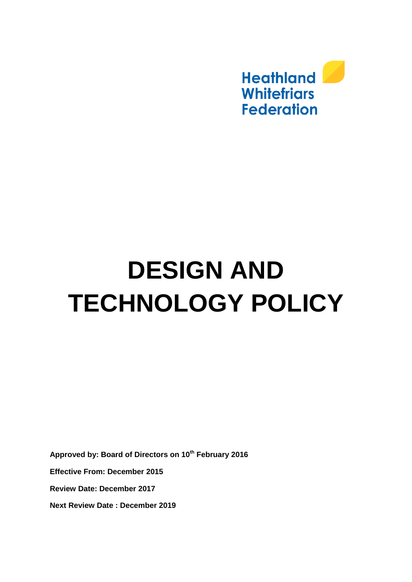

# **DESIGN AND TECHNOLOGY POLICY**

**Approved by: Board of Directors on 10th February 2016**

**Effective From: December 2015**

**Review Date: December 2017**

**Next Review Date : December 2019**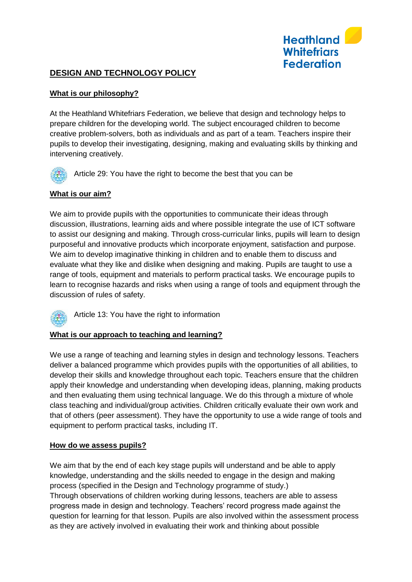

# **DESIGN AND TECHNOLOGY POLICY**

## **What is our philosophy?**

At the Heathland Whitefriars Federation, we believe that design and technology helps to prepare children for the developing world. The subject encouraged children to become creative problem-solvers, both as individuals and as part of a team. Teachers inspire their pupils to develop their investigating, designing, making and evaluating skills by thinking and intervening creatively.

Article 29: You have the right to become the best that you can be

## **What is our aim?**

We aim to provide pupils with the opportunities to communicate their ideas through discussion, illustrations, learning aids and where possible integrate the use of ICT software to assist our designing and making. Through cross-curricular links, pupils will learn to design purposeful and innovative products which incorporate enjoyment, satisfaction and purpose. We aim to develop imaginative thinking in children and to enable them to discuss and evaluate what they like and dislike when designing and making. Pupils are taught to use a range of tools, equipment and materials to perform practical tasks. We encourage pupils to learn to recognise hazards and risks when using a range of tools and equipment through the discussion of rules of safety.

Article 13: You have the right to information

#### **What is our approach to teaching and learning?**

We use a range of teaching and learning styles in design and technology lessons. Teachers deliver a balanced programme which provides pupils with the opportunities of all abilities, to develop their skills and knowledge throughout each topic. Teachers ensure that the children apply their knowledge and understanding when developing ideas, planning, making products and then evaluating them using technical language. We do this through a mixture of whole class teaching and individual/group activities. Children critically evaluate their own work and that of others (peer assessment). They have the opportunity to use a wide range of tools and equipment to perform practical tasks, including IT.

#### **How do we assess pupils?**

We aim that by the end of each key stage pupils will understand and be able to apply knowledge, understanding and the skills needed to engage in the design and making process (specified in the Design and Technology programme of study.) Through observations of children working during lessons, teachers are able to assess progress made in design and technology. Teachers' record progress made against the question for learning for that lesson. Pupils are also involved within the assessment process as they are actively involved in evaluating their work and thinking about possible